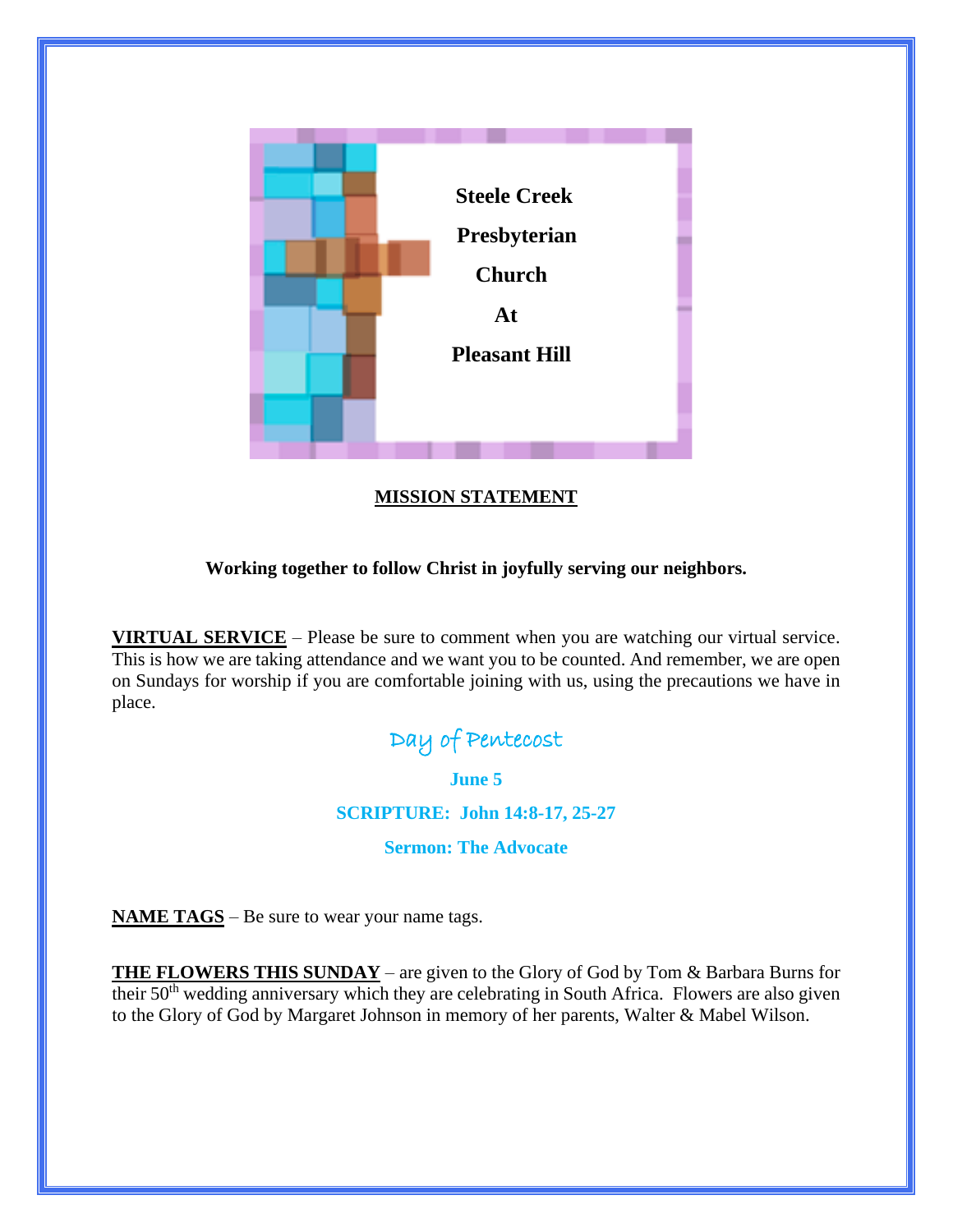

## **MISSION STATEMENT**

### **Working together to follow Christ in joyfully serving our neighbors.**

**VIRTUAL SERVICE** – Please be sure to comment when you are watching our virtual service. This is how we are taking attendance and we want you to be counted. And remember, we are open on Sundays for worship if you are comfortable joining with us, using the precautions we have in place.

# Day of Pentecost

**June 5**

**SCRIPTURE: John 14:8-17, 25-27**

### **Sermon: The Advocate**

**NAME TAGS** – Be sure to wear your name tags.

**THE FLOWERS THIS SUNDAY** – are given to the Glory of God by Tom & Barbara Burns for their 50<sup>th</sup> wedding anniversary which they are celebrating in South Africa. Flowers are also given to the Glory of God by Margaret Johnson in memory of her parents, Walter & Mabel Wilson.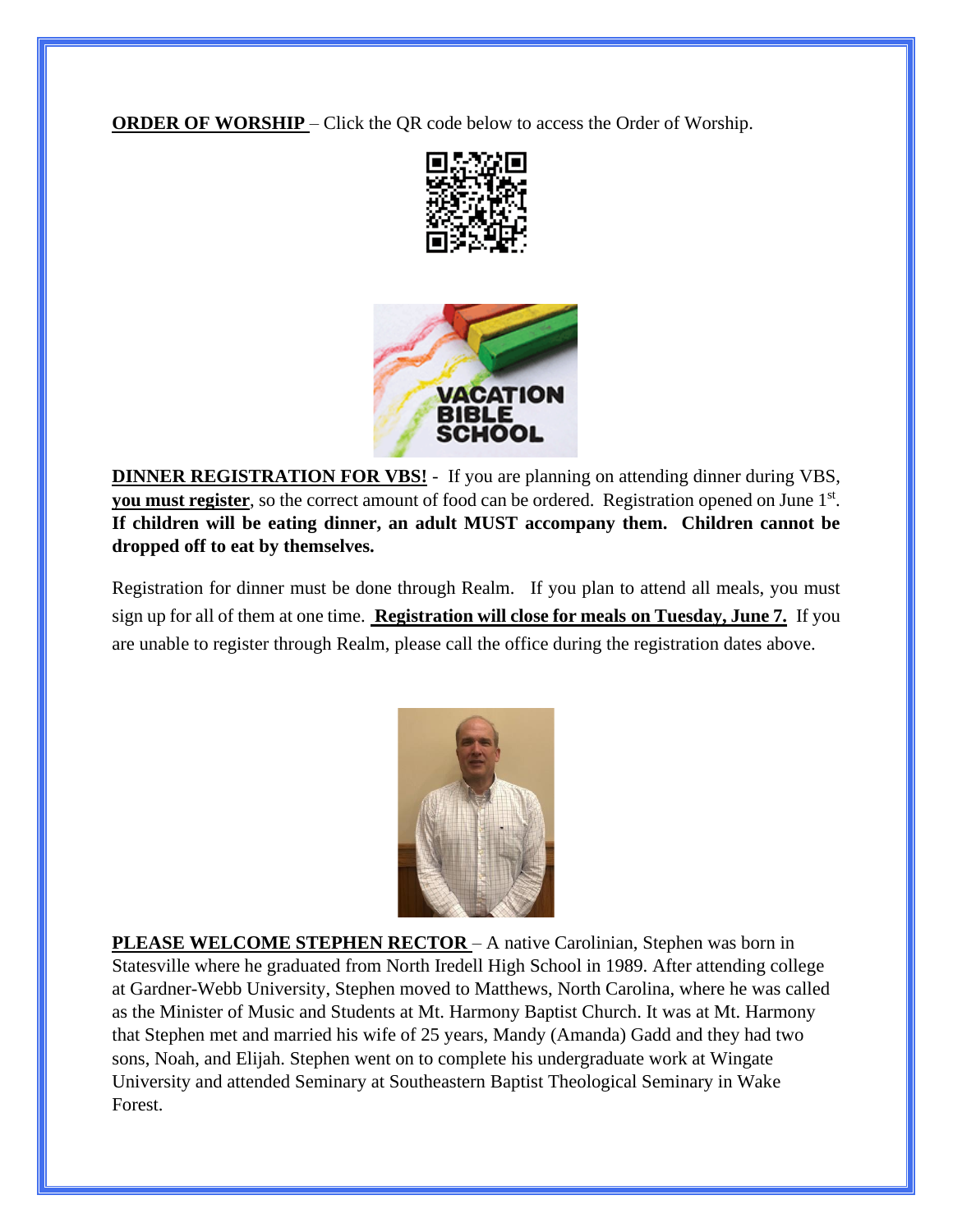**ORDER OF WORSHIP** – Click the QR code below to access the Order of Worship.





**DINNER REGISTRATION FOR VBS!** - If you are planning on attending dinner during VBS, **you must register**, so the correct amount of food can be ordered. Registration opened on June 1<sup>st</sup>. **If children will be eating dinner, an adult MUST accompany them. Children cannot be dropped off to eat by themselves.**

Registration for dinner must be done through Realm. If you plan to attend all meals, you must sign up for all of them at one time. **Registration will close for meals on Tuesday, June 7.** If you are unable to register through Realm, please call the office during the registration dates above.



**PLEASE WELCOME STEPHEN RECTOR – A native Carolinian, Stephen was born in** Statesville where he graduated from North Iredell High School in 1989. After attending college at Gardner-Webb University, Stephen moved to Matthews, North Carolina, where he was called as the Minister of Music and Students at Mt. Harmony Baptist Church. It was at Mt. Harmony that Stephen met and married his wife of 25 years, Mandy (Amanda) Gadd and they had two sons, Noah, and Elijah. Stephen went on to complete his undergraduate work at Wingate University and attended Seminary at Southeastern Baptist Theological Seminary in Wake Forest.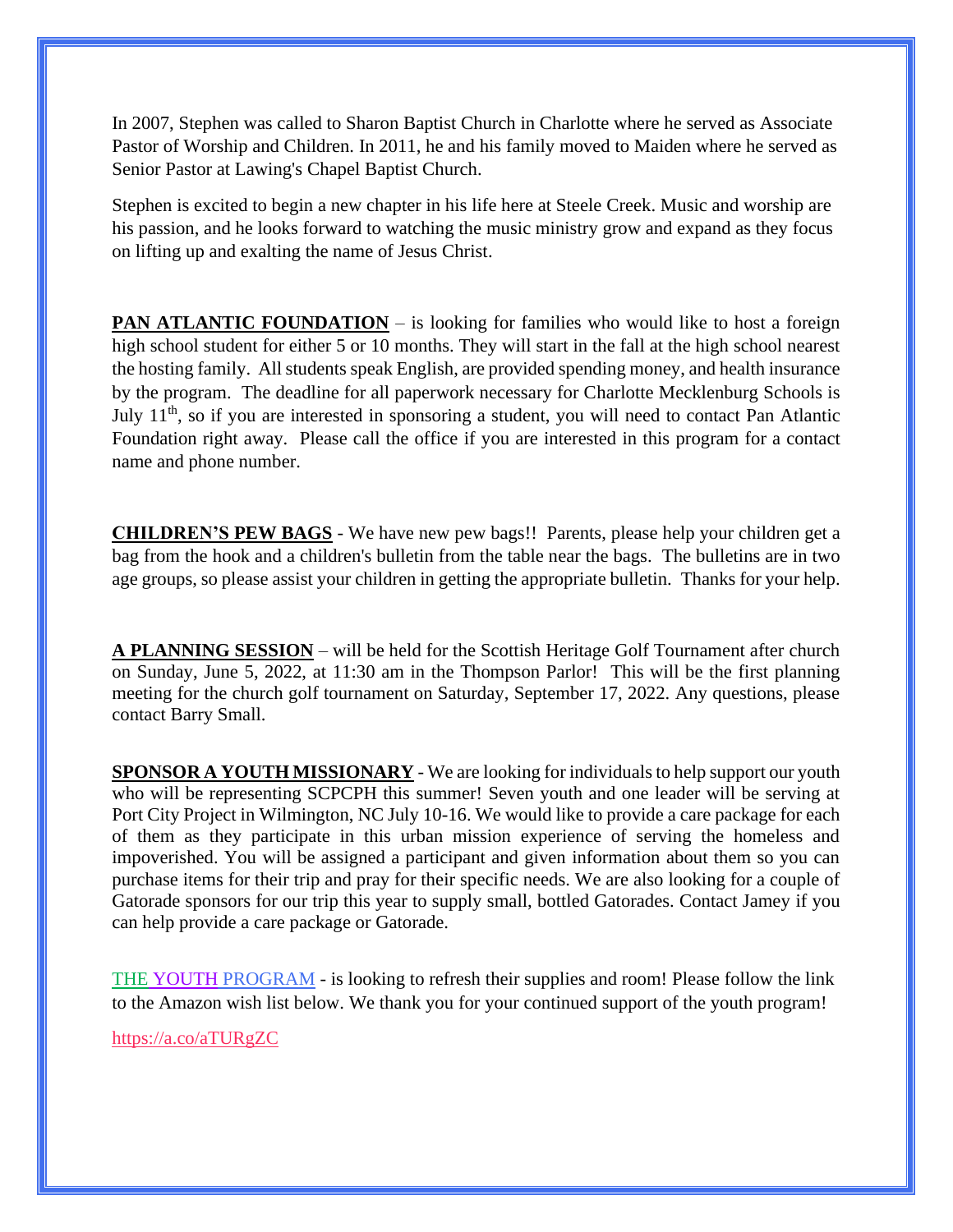In 2007, Stephen was called to Sharon Baptist Church in Charlotte where he served as Associate Pastor of Worship and Children. In 2011, he and his family moved to Maiden where he served as Senior Pastor at Lawing's Chapel Baptist Church.

Stephen is excited to begin a new chapter in his life here at Steele Creek. Music and worship are his passion, and he looks forward to watching the music ministry grow and expand as they focus on lifting up and exalting the name of Jesus Christ.

**PAN ATLANTIC FOUNDATION** – is looking for families who would like to host a foreign high school student for either 5 or 10 months. They will start in the fall at the high school nearest the hosting family. All students speak English, are provided spending money, and health insurance by the program. The deadline for all paperwork necessary for Charlotte Mecklenburg Schools is July  $11<sup>th</sup>$ , so if you are interested in sponsoring a student, you will need to contact Pan Atlantic Foundation right away. Please call the office if you are interested in this program for a contact name and phone number.

**CHILDREN'S PEW BAGS** - We have new pew bags!! Parents, please help your children get a bag from the hook and a children's bulletin from the table near the bags. The bulletins are in two age groups, so please assist your children in getting the appropriate bulletin. Thanks for your help.

**A PLANNING SESSION** – will be held for the Scottish Heritage Golf Tournament after church on Sunday, June 5, 2022, at 11:30 am in the Thompson Parlor! This will be the first planning meeting for the church golf tournament on Saturday, September 17, 2022. Any questions, please contact Barry Small.

**SPONSOR A YOUTH MISSIONARY** - We are looking for individuals to help support our youth who will be representing SCPCPH this summer! Seven youth and one leader will be serving at Port City Project in Wilmington, NC July 10-16. We would like to provide a care package for each of them as they participate in this urban mission experience of serving the homeless and impoverished. You will be assigned a participant and given information about them so you can purchase items for their trip and pray for their specific needs. We are also looking for a couple of Gatorade sponsors for our trip this year to supply small, bottled Gatorades. Contact Jamey if you can help provide a care package or Gatorade.

THE YOUTH PROGRAM - is looking to refresh their supplies and room! Please follow the link to the Amazon wish list below. We thank you for your continued support of the youth program!

<https://a.co/aTURgZC>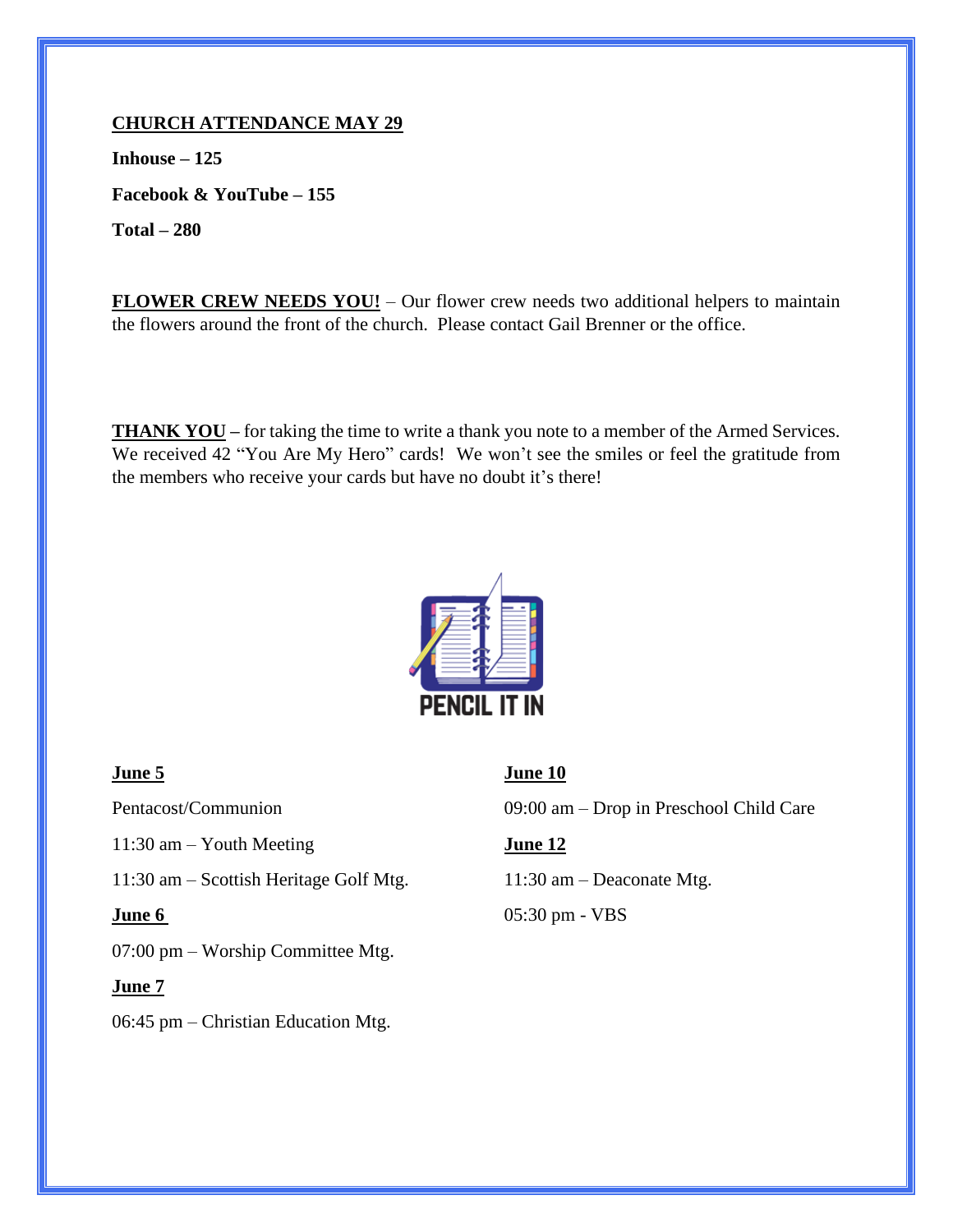### **CHURCH ATTENDANCE MAY 29**

**Inhouse – 125 Facebook & YouTube – 155 Total – 280**

**FLOWER CREW NEEDS YOU!** – Our flower crew needs two additional helpers to maintain the flowers around the front of the church. Please contact Gail Brenner or the office.

**THANK YOU** – for taking the time to write a thank you note to a member of the Armed Services. We received 42 "You Are My Hero" cards! We won't see the smiles or feel the gratitude from the members who receive your cards but have no doubt it's there!



11:30 am – Youth Meeting **June 12**

11:30 am – Scottish Heritage Golf Mtg. 11:30 am – Deaconate Mtg.

07:00 pm – Worship Committee Mtg.

### **June 7**

06:45 pm – Christian Education Mtg.

### **June 5 June 10**

Pentacost/Communion 09:00 am – Drop in Preschool Child Care

**June 6** 05:30 pm - VBS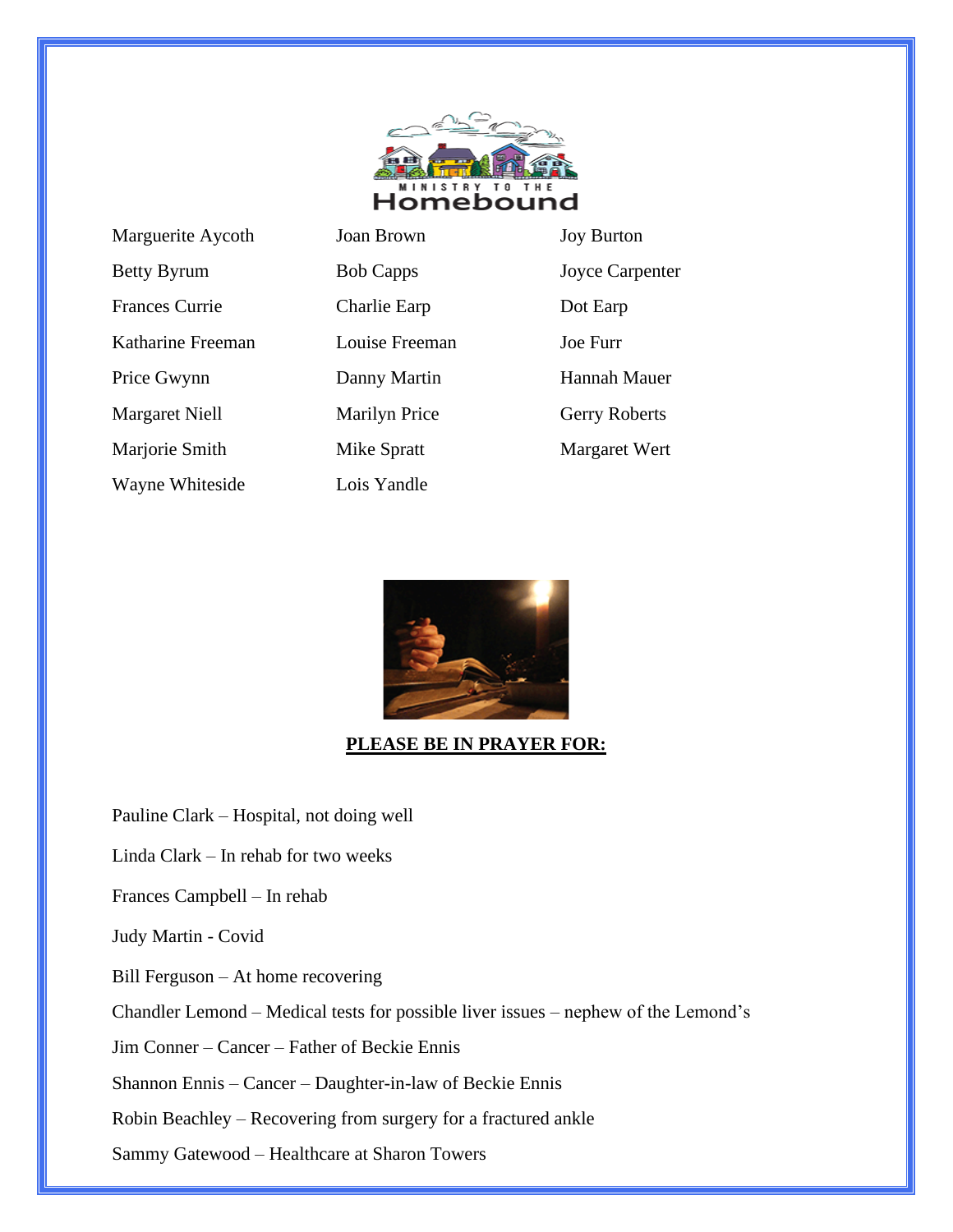

| Marguerite Aycoth     |
|-----------------------|
| <b>Betty Byrum</b>    |
| <b>Frances Currie</b> |
| Katharine Freeman     |
| Price Gwynn           |
| <b>Margaret Niell</b> |
| Marjorie Smith        |
| Wayne Whiteside       |

Joan Brown Joy Burton Bob Capps Joyce Carpenter Charlie Earp Dot Earp Louise Freeman Joe Furr Panny Martin Hannah Mauer Marilyn Price Gerry Roberts Mike Spratt Margaret Wert



Lois Yandle

### **PLEASE BE IN PRAYER FOR:**

Pauline Clark – Hospital, not doing well

Linda Clark – In rehab for two weeks

Frances Campbell – In rehab

Judy Martin - Covid

Bill Ferguson – At home recovering

Chandler Lemond – Medical tests for possible liver issues – nephew of the Lemond's

Jim Conner – Cancer – Father of Beckie Ennis

Shannon Ennis – Cancer – Daughter-in-law of Beckie Ennis

Robin Beachley – Recovering from surgery for a fractured ankle

Sammy Gatewood – Healthcare at Sharon Towers